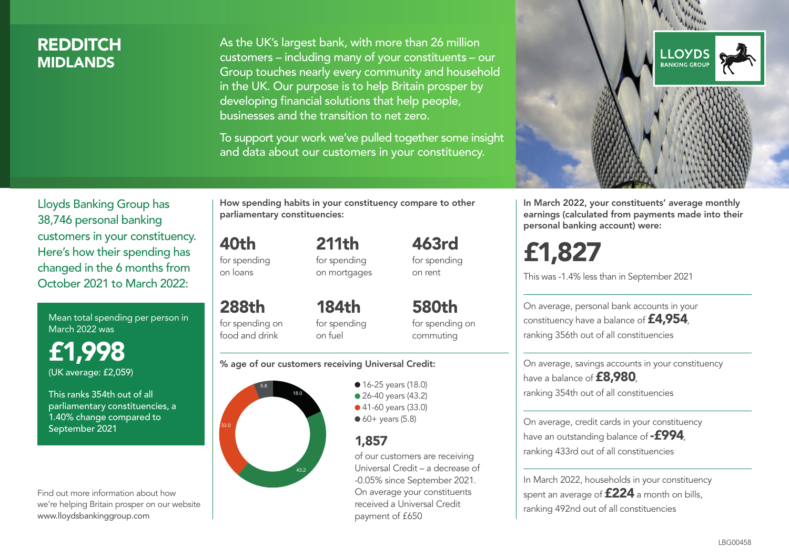### **REDDITCH MIDI ANDS**

As the UK's largest bank, with more than 26 million customers – including many of your constituents – our Group touches nearly every community and household in the UK. Our purpose is to help Britain prosper by developing financial solutions that help people, businesses and the transition to net zero.

To support your work we've pulled together some insight and data about our customers in your constituency.



Mean total spending per person in March 2022 was

£1,998 (UK average: £2,059)

This ranks 354th out of all parliamentary constituencies, a 1.40% change compared to September 2021

Find out more information about how we're helping Britain prosper on our website www.lloydsbankinggroup.com

How spending habits in your constituency compare to other parliamentary constituencies:

211th

40th for spending on loans

288th

food and drink

for spending on mortgages

for spending on 184th for spending

580th for spending on commuting

463rd for spending on rent

#### % age of our customers receiving Universal Credit:

on fuel



• 16-25 years (18.0) • 26-40 years (43.2) ● 41-60 years (33.0)  $60+$  years (5.8)

### 1,857

of our customers are receiving Universal Credit – a decrease of -0.05% since September 2021. On average your constituents received a Universal Credit payment of £650



In March 2022, your constituents' average monthly earnings (calculated from payments made into their personal banking account) were:

# £1,827

This was -1.4% less than in September 2021

On average, personal bank accounts in your constituency have a balance of £4,954, ranking 356th out of all constituencies

On average, savings accounts in your constituency have a balance of **£8,980** ranking 354th out of all constituencies

On average, credit cards in your constituency have an outstanding balance of **-£994**. ranking 433rd out of all constituencies

In March 2022, households in your constituency spent an average of £224 a month on bills, ranking 492nd out of all constituencies

#### LBG00458